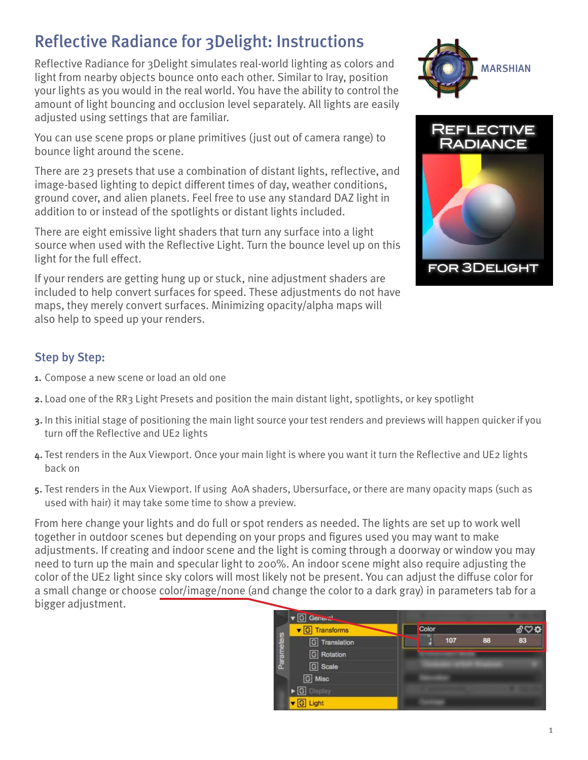# Reflective Radiance for 3Delight: Instructions

Reflective Radiance for 3Delight simulates real-world lighting as colors and light from nearby objects bounce onto each other. Similar to Iray, position your lights as you would in the real world. You have the ability to control the amount of light bouncing and occlusion level separately. All lights are easily adjusted using settings that are familiar.

You can use scene props or plane primitives (just out of camera range) to bounce light around the scene.

There are 23 presets that use a combination of distant lights, reflective, and image-based lighting to depict different times of day, weather conditions, ground cover, and alien planets. Feel free to use any standard DAZ light in addition to or instead of the spotlights or distant lights included.

There are eight emissive light shaders that turn any surface into a light source when used with the Reflective Light. Turn the bounce level up on this light for the full effect.

If your renders are getting hung up or stuck, nine adjustment shaders are included to help convert surfaces for speed. These adjustments do not have maps, they merely convert surfaces. Minimizing opacity/alpha maps will also help to speed up your renders.

## Step by Step:

- **1.** Compose a new scene or load an old one
- **2.** Load one of the RR3 Light Presets and position the main distant light, spotlights, or key spotlight
- **3.** In this initial stage of positioning the main light source your test renders and previews will happen quicker if you turn off the Reflective and UE2 lights
- **4.** Test renders in the Aux Viewport. Once your main light is where you want it turn the Reflective and UE2 lights back on
- **5.** Test renders in the Aux Viewport. If using AoA shaders, Ubersurface, or there are many opacity maps (such as used with hair) it may take some time to show a preview.

From here change your lights and do full or spot renders as needed. The lights are set up to work well together in outdoor scenes but depending on your props and figures used you may want to make adjustments. If creating and indoor scene and the light is coming through a doorway or window you may need to turn up the main and specular light to 200%. An indoor scene might also require adjusting the color of the UE2 light since sky colors will most likely not be present. You can adjust the diffuse color for a small change or choose color/image/none (and change the color to a dark gray) in parameters tab for a bigger adjustment.





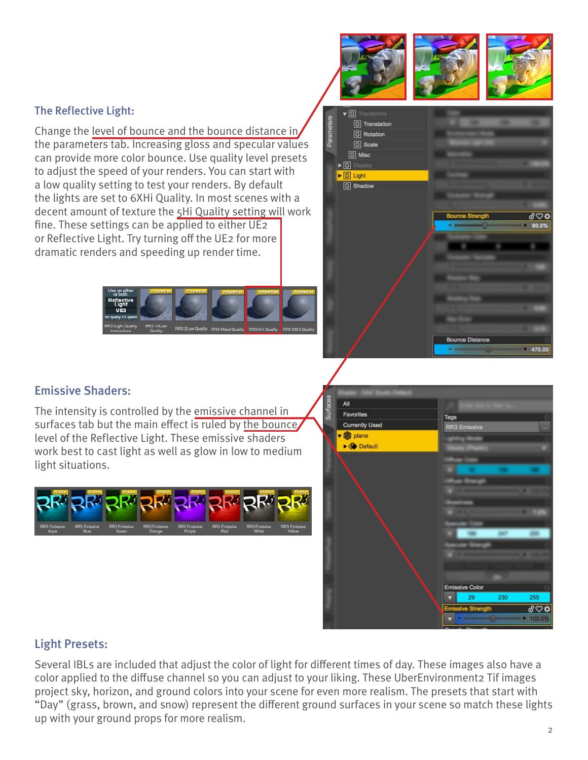#### The Reflective Light:

Change the level of bounce and the bounce distance in the parameters tab. Increasing gloss and specular values can provide more color bounce. Use quality level presets to adjust the speed of your renders. You can start with a low quality setting to test your renders. By default the lights are set to 6XHi Quality. In most scenes with a decent amount of texture the 5Hi Quality setting will work fine. These settings can be applied to either UE2 or Reflective Light. Try turning off the UE2 for more dramatic renders and speeding up render time.





#### Emissive Shaders:

The intensity is controlled by the emissive channel in surfaces tab but the main effect is ruled by the bounce, level of the Reflective Light. These emissive shaders work best to cast light as well as glow in low to medium light situations.





#### Light Presets:

Several IBLs are included that adjust the color of light for different times of day. These images also have a color applied to the diffuse channel so you can adjust to your liking. These UberEnvironment2 Tif images project sky, horizon, and ground colors into your scene for even more realism. The presets that start with "Day" (grass, brown, and snow) represent the different ground surfaces in your scene so match these lights up with your ground props for more realism.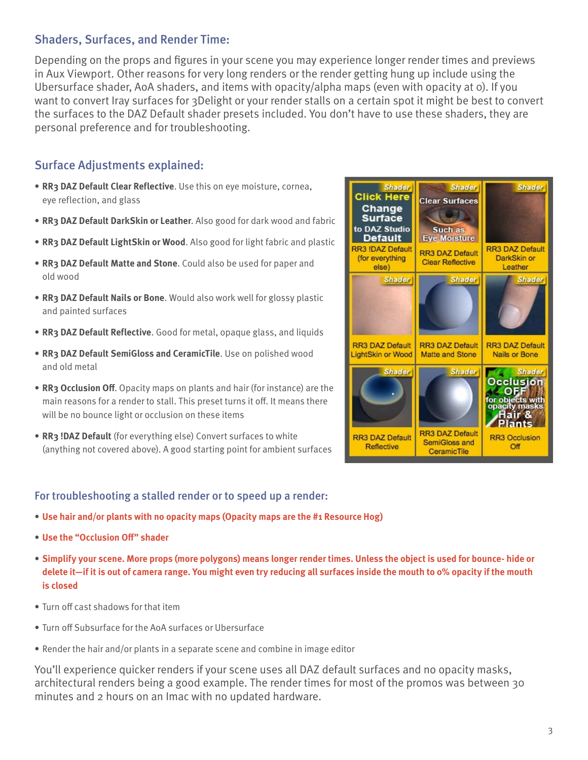### Shaders, Surfaces, and Render Time:

Depending on the props and figures in your scene you may experience longer render times and previews in Aux Viewport. Other reasons for very long renders or the render getting hung up include using the Ubersurface shader, AoA shaders, and items with opacity/alpha maps (even with opacity at 0). If you want to convert Iray surfaces for 3Delight or your render stalls on a certain spot it might be best to convert the surfaces to the DAZ Default shader presets included. You don't have to use these shaders, they are personal preference and for troubleshooting.

### Surface Adjustments explained:

- **RR3 DAZ Default Clear Reflective**. Use this on eye moisture, cornea, eye reflection, and glass
- **RR3 DAZ Default DarkSkin or Leather**. Also good for dark wood and fabric
- **RR3 DAZ Default LightSkin or Wood**. Also good for light fabric and plastic
- **RR3 DAZ Default Matte and Stone**. Could also be used for paper and old wood
- **RR3 DAZ Default Nails or Bone**. Would also work well for glossy plastic and painted surfaces
- **RR3 DAZ Default Reflective**. Good for metal, opaque glass, and liquids
- **RR3 DAZ Default SemiGloss and CeramicTile**. Use on polished wood and old metal
- **RR3 Occlusion Off**. Opacity maps on plants and hair (for instance) are the main reasons for a render to stall. This preset turns it off. It means there will be no bounce light or occlusion on these items
- **RR3 !DAZ Default** (for everything else) Convert surfaces to white (anything not covered above). A good starting point for ambient surfaces

#### **Shader Shader Shader Click Here Clear Surfaces** Change **Surface** to DAZ Studio Such as **Eye Moisture** Default RR3 !DAZ Default **RR3 DAZ Default RR3 DAZ Default** (for everything DarkSkin or **Clear Reflective** Leather else) **Shader Shader Shader RR3 DAZ Default RR3 DAZ Default RR3 DAZ Default** Matte and Stone LightSkin or Wood **Nails or Bone Shader Shader Shader Occlusion COFF**<br>cobjects with<br>pacity masks lair & lants **RR3 DAZ Default RR3 DAZ Default RR3 Occlusion** SemiGloss and Reflective Off CeramicTile

#### For troubleshooting a stalled render or to speed up a render:

- **Use hair and/or plants with no opacity maps (Opacity maps are the #1 Resource Hog)**
- **Use the "Occlusion Off" shader**
- **Simplify your scene. More props (more polygons) means longer render times. Unless the object is used for bounce- hide or delete it—if it is out of camera range. You might even try reducing all surfaces inside the mouth to 0% opacity if the mouth is closed**
- Turn off cast shadows for that item
- Turn off Subsurface for the AoA surfaces or Ubersurface
- Render the hair and/or plants in a separate scene and combine in image editor

You'll experience quicker renders if your scene uses all DAZ default surfaces and no opacity masks, architectural renders being a good example. The render times for most of the promos was between 30 minutes and 2 hours on an Imac with no updated hardware.